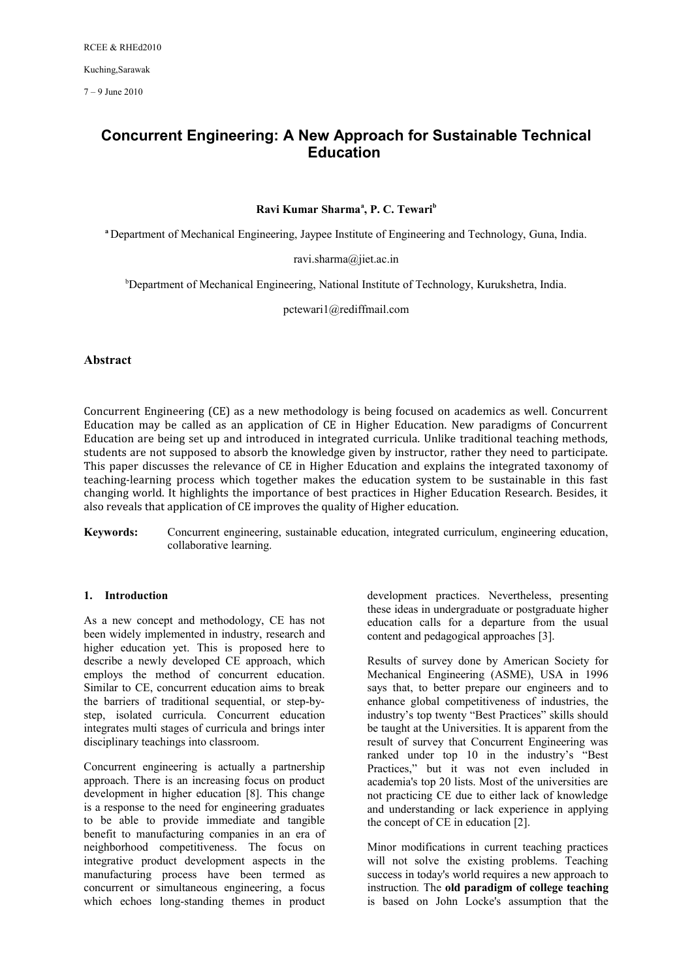7 – 9 June 2010

# **Concurrent Engineering: A New Approach for Sustainable Technical Education**

# **Ravi Kumar Sharma<sup>a</sup> , P. C. Tewari<sup>b</sup>**

**<sup>a</sup>**Department of Mechanical Engineering, Jaypee Institute of Engineering and Technology, Guna, India.

[ravi.sharma@jiet.ac.in](mailto:ravi.sharma@jiet.ac.in)

<sup>b</sup>Department of Mechanical Engineering, National Institute of Technology, Kurukshetra, India.

[pctewari1@rediffmail.com](mailto:pctewari1@rediffmail.com)

# **Abstract**

Concurrent Engineering (CE) as a new methodology is being focused on academics as well. Concurrent Education may be called as an application of CE in Higher Education. New paradigms of Concurrent Education are being set up and introduced in integrated curricula. Unlike traditional teaching methods, students are not supposed to absorb the knowledge given by instructor, rather they need to participate. This paper discusses the relevance of CE in Higher Education and explains the integrated taxonomy of teaching-learning process which together makes the education system to be sustainable in this fast changing world. It highlights the importance of best practices in Higher Education Research. Besides, it also reveals that application of CE improves the quality of Higher education.

**Keywords:** Concurrent engineering, sustainable education, integrated curriculum, engineering education, collaborative learning.

# **1. Introduction**

As a new concept and methodology, CE has not been widely implemented in industry, research and higher education yet. This is proposed here to describe a newly developed CE approach, which employs the method of concurrent education. Similar to CE, concurrent education aims to break the barriers of traditional sequential, or step-bystep, isolated curricula. Concurrent education integrates multi stages of curricula and brings inter disciplinary teachings into classroom.

Concurrent engineering is actually a partnership approach. There is an increasing focus on product development in higher education [8]. This change is a response to the need for engineering graduates to be able to provide immediate and tangible benefit to manufacturing companies in an era of neighborhood competitiveness. The focus on integrative product development aspects in the manufacturing process have been termed as concurrent or simultaneous engineering, a focus which echoes long-standing themes in product

development practices. Nevertheless, presenting these ideas in undergraduate or postgraduate higher education calls for a departure from the usual content and pedagogical approaches [3].

Results of survey done by American Society for Mechanical Engineering (ASME), USA in 1996 says that, to better prepare our engineers and to enhance global competitiveness of industries, the industry's top twenty "Best Practices" skills should be taught at the Universities. It is apparent from the result of survey that Concurrent Engineering was ranked under top 10 in the industry's "Best Practices," but it was not even included in academia's top 20 lists. Most of the universities are not practicing CE due to either lack of knowledge and understanding or lack experience in applying the concept of CE in education [2].

Minor modifications in current teaching practices will not solve the existing problems. Teaching success in today's world requires a new approach to instruction*.* The **old paradigm of college teaching** is based on John Locke's assumption that the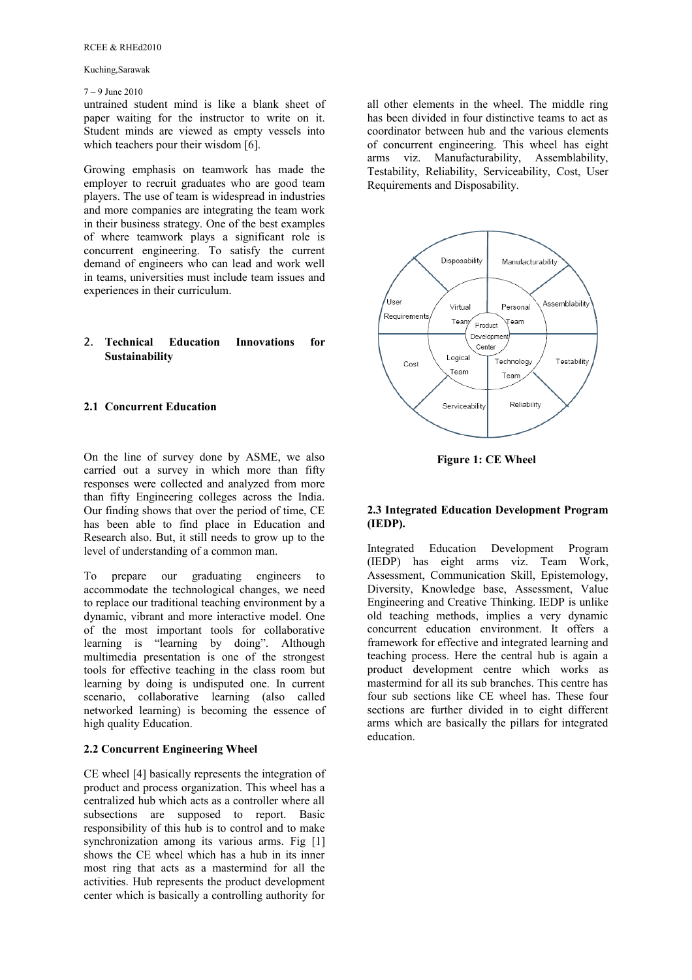### RCEE & RHEd2010

### Kuching,Sarawak

### 7 – 9 June 2010

untrained student mind is like a blank sheet of paper waiting for the instructor to write on it. Student minds are viewed as empty vessels into which teachers pour their wisdom [6].

Growing emphasis on teamwork has made the employer to recruit graduates who are good team players. The use of team is widespread in industries and more companies are integrating the team work in their business strategy. One of the best examples of where teamwork plays a significant role is concurrent engineering. To satisfy the current demand of engineers who can lead and work well in teams, universities must include team issues and experiences in their curriculum.

### 2. **Technical Education Innovations for Sustainability**

## **2.1 Concurrent Education**

On the line of survey done by ASME, we also carried out a survey in which more than fifty responses were collected and analyzed from more than fifty Engineering colleges across the India. Our finding shows that over the period of time, CE has been able to find place in Education and Research also. But, it still needs to grow up to the level of understanding of a common man.

To prepare our graduating engineers to accommodate the technological changes, we need to replace our traditional teaching environment by a dynamic, vibrant and more interactive model. One of the most important tools for collaborative learning is "learning by doing". Although multimedia presentation is one of the strongest tools for effective teaching in the class room but learning by doing is undisputed one. In current scenario, collaborative learning (also called networked learning) is becoming the essence of high quality Education.

### **2.2 Concurrent Engineering Wheel**

CE wheel [4] basically represents the integration of product and process organization. This wheel has a centralized hub which acts as a controller where all subsections are supposed to report. Basic responsibility of this hub is to control and to make synchronization among its various arms. Fig [1] shows the CE wheel which has a hub in its inner most ring that acts as a mastermind for all the activities. Hub represents the product development center which is basically a controlling authority for

all other elements in the wheel. The middle ring has been divided in four distinctive teams to act as coordinator between hub and the various elements of concurrent engineering. This wheel has eight arms viz. Manufacturability, Assemblability, Testability, Reliability, Serviceability, Cost, User Requirements and Disposability.



**Figure 1: CE Wheel** 

### **2.3 Integrated Education Development Program (IEDP).**

Integrated Education Development Program (IEDP) has eight arms viz. Team Work, Assessment, Communication Skill, Epistemology, Diversity, Knowledge base, Assessment, Value Engineering and Creative Thinking. IEDP is unlike old teaching methods, implies a very dynamic concurrent education environment. It offers a framework for effective and integrated learning and teaching process. Here the central hub is again a product development centre which works as mastermind for all its sub branches. This centre has four sub sections like CE wheel has. These four sections are further divided in to eight different arms which are basically the pillars for integrated education.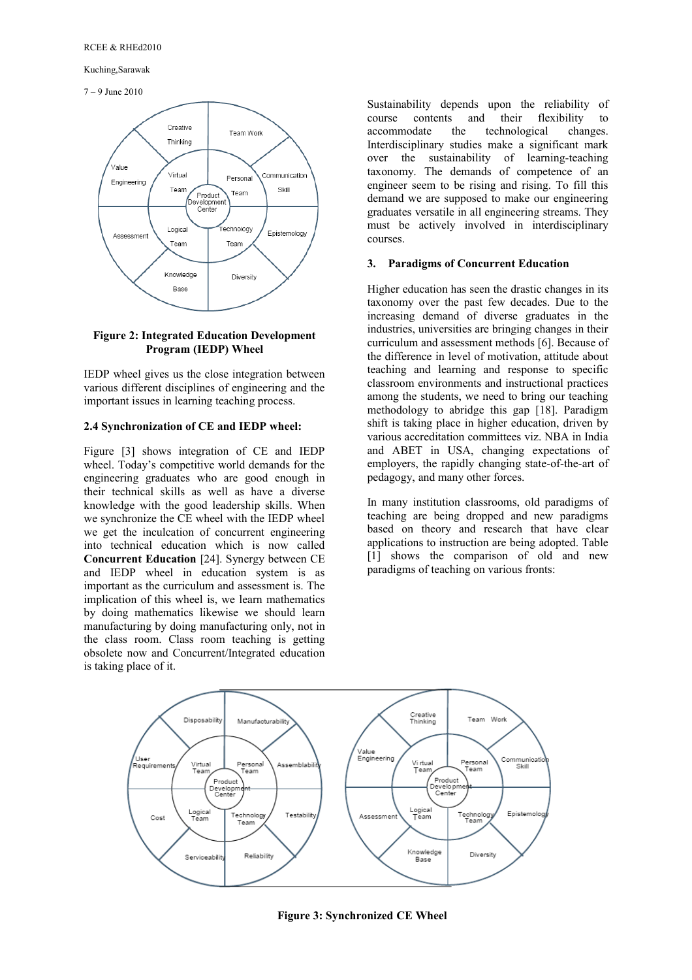7 – 9 June 2010



### **Figure 2: Integrated Education Development Program (IEDP) Wheel**

IEDP wheel gives us the close integration between various different disciplines of engineering and the important issues in learning teaching process.

### **2.4 Synchronization of CE and IEDP wheel:**

Figure [3] shows integration of CE and IEDP wheel. Today's competitive world demands for the engineering graduates who are good enough in their technical skills as well as have a diverse knowledge with the good leadership skills. When we synchronize the CE wheel with the IEDP wheel we get the inculcation of concurrent engineering into technical education which is now called **Concurrent Education** [24]. Synergy between CE and IEDP wheel in education system is as important as the curriculum and assessment is. The implication of this wheel is, we learn mathematics by doing mathematics likewise we should learn manufacturing by doing manufacturing only, not in the class room. Class room teaching is getting obsolete now and Concurrent/Integrated education is taking place of it.

Sustainability depends upon the reliability of course contents and their flexibility to accommodate the technological changes. Interdisciplinary studies make a significant mark over the sustainability of learning-teaching taxonomy. The demands of competence of an engineer seem to be rising and rising. To fill this demand we are supposed to make our engineering graduates versatile in all engineering streams. They must be actively involved in interdisciplinary courses.

### **3. Paradigms of Concurrent Education**

Higher education has seen the drastic changes in its taxonomy over the past few decades. Due to the increasing demand of diverse graduates in the industries, universities are bringing changes in their curriculum and assessment methods [6]. Because of the difference in level of motivation, attitude about teaching and learning and response to specific classroom environments and instructional practices among the students, we need to bring our teaching methodology to abridge this gap [18]. Paradigm shift is taking place in higher education, driven by various accreditation committees viz. NBA in India and ABET in USA, changing expectations of employers, the rapidly changing state-of-the-art of pedagogy, and many other forces.

In many institution classrooms, old paradigms of teaching are being dropped and new paradigms based on theory and research that have clear applications to instruction are being adopted. Table [1] shows the comparison of old and new paradigms of teaching on various fronts:



**Figure 3: Synchronized CE Wheel**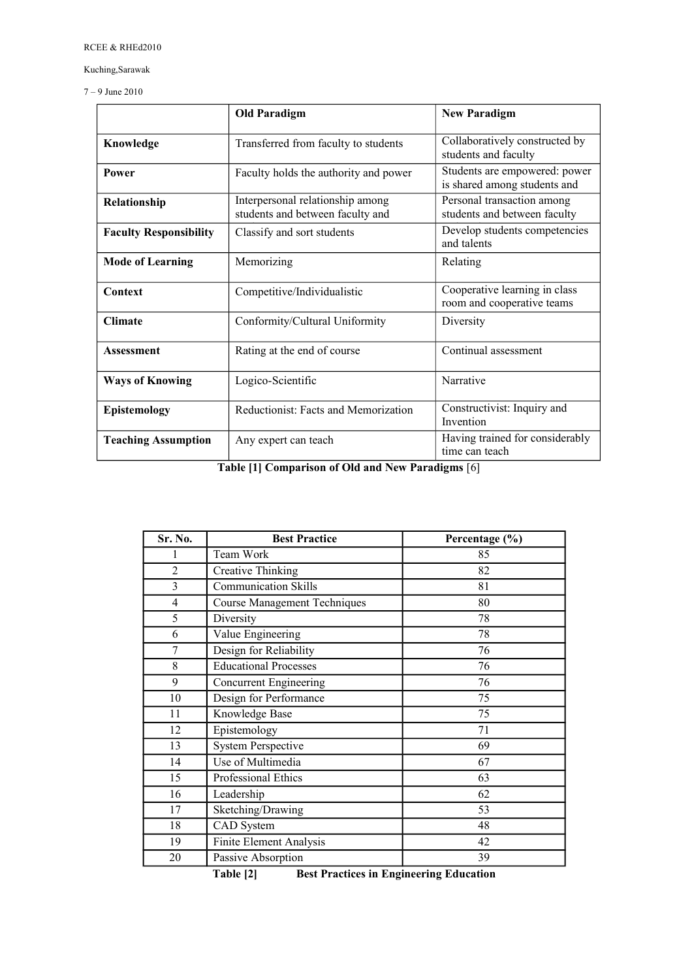7 – 9 June 2010

|                               | <b>Old Paradigm</b>                                                  | <b>New Paradigm</b>                                           |
|-------------------------------|----------------------------------------------------------------------|---------------------------------------------------------------|
| Knowledge                     | Transferred from faculty to students                                 | Collaboratively constructed by<br>students and faculty        |
| <b>Power</b>                  | Faculty holds the authority and power                                | Students are empowered: power<br>is shared among students and |
| Relationship                  | Interpersonal relationship among<br>students and between faculty and | Personal transaction among<br>students and between faculty    |
| <b>Faculty Responsibility</b> | Classify and sort students                                           | Develop students competencies<br>and talents                  |
| <b>Mode of Learning</b>       | Memorizing                                                           | Relating                                                      |
| Context                       | Competitive/Individualistic                                          | Cooperative learning in class<br>room and cooperative teams   |
| <b>Climate</b>                | Conformity/Cultural Uniformity                                       | Diversity                                                     |
| <b>Assessment</b>             | Rating at the end of course                                          | Continual assessment                                          |
| <b>Ways of Knowing</b>        | Logico-Scientific                                                    | Narrative                                                     |
| Epistemology                  | Reductionist: Facts and Memorization                                 | Constructivist: Inquiry and<br>Invention                      |
| <b>Teaching Assumption</b>    | Any expert can teach                                                 | Having trained for considerably<br>time can teach             |

**Table [1] Comparison of Old and New Paradigms** [6]

| Sr. No.        | <b>Best Practice</b>                | Percentage (%) |
|----------------|-------------------------------------|----------------|
|                | Team Work                           | 85             |
| $\overline{2}$ | <b>Creative Thinking</b>            | 82             |
| 3              | <b>Communication Skills</b>         | 81             |
| $\overline{4}$ | <b>Course Management Techniques</b> | 80             |
| 5              | Diversity                           | 78             |
| 6              | Value Engineering                   | 78             |
| $\tau$         | Design for Reliability              | 76             |
| 8              | <b>Educational Processes</b>        | 76             |
| 9              | Concurrent Engineering              | 76             |
| 10             | Design for Performance              | 75             |
| 11             | Knowledge Base                      | 75             |
| 12             | Epistemology                        | 71             |
| 13             | <b>System Perspective</b>           | 69             |
| 14             | Use of Multimedia                   | 67             |
| 15             | Professional Ethics                 | 63             |
| 16             | Leadership                          | 62             |
| 17             | Sketching/Drawing                   | 53             |
| 18             | CAD System                          | 48             |
| 19             | Finite Element Analysis             | 42             |
| 20             | Passive Absorption                  | 39             |

**Table [2] Best Practices in Engineering Education**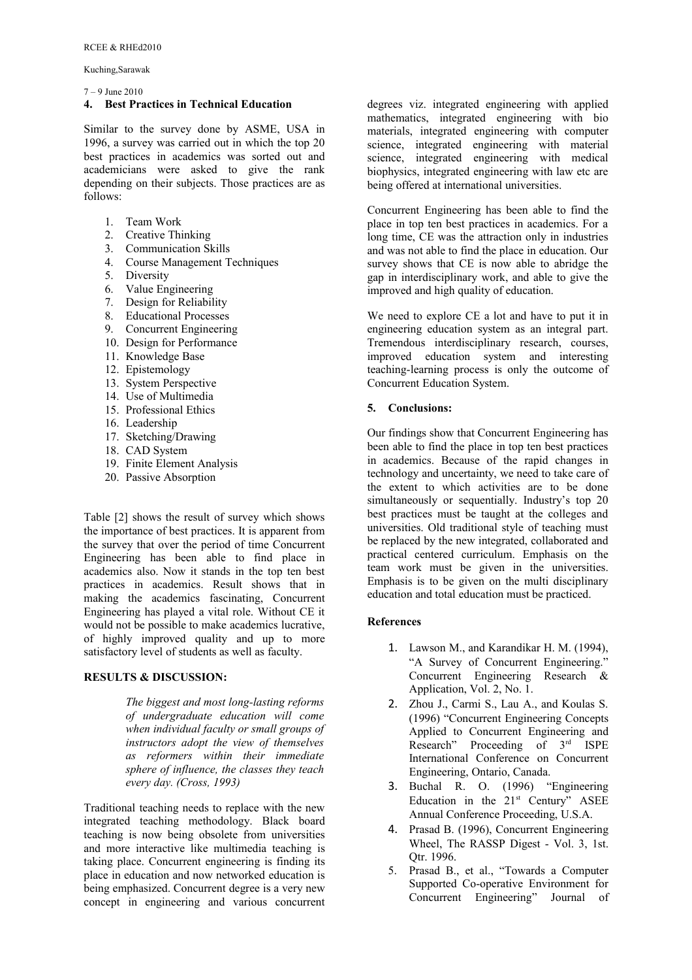7 – 9 June 2010

### **4. Best Practices in Technical Education**

Similar to the survey done by ASME, USA in 1996, a survey was carried out in which the top 20 best practices in academics was sorted out and academicians were asked to give the rank depending on their subjects. Those practices are as follows:

- 1. Team Work
- 2. Creative Thinking
- 3. Communication Skills
- 4. Course Management Techniques
- 5. Diversity
- 6. Value Engineering
- 7. Design for Reliability
- 8. Educational Processes
- 9. Concurrent Engineering
- 10. Design for Performance
- 11. Knowledge Base
- 12. Epistemology
- 13. System Perspective
- 14. Use of Multimedia
- 15. Professional Ethics
- 16. Leadership
- 17. Sketching/Drawing
- 18. CAD System
- 19. Finite Element Analysis
- 20. Passive Absorption

Table [2] shows the result of survey which shows the importance of best practices. It is apparent from the survey that over the period of time Concurrent Engineering has been able to find place in academics also. Now it stands in the top ten best practices in academics. Result shows that in making the academics fascinating, Concurrent Engineering has played a vital role. Without CE it would not be possible to make academics lucrative, of highly improved quality and up to more satisfactory level of students as well as faculty.

### **RESULTS & DISCUSSION:**

*The biggest and most long-lasting reforms of undergraduate education will come when individual faculty or small groups of instructors adopt the view of themselves as reformers within their immediate sphere of influence, the classes they teach every day. (Cross, 1993)*

Traditional teaching needs to replace with the new integrated teaching methodology. Black board teaching is now being obsolete from universities and more interactive like multimedia teaching is taking place. Concurrent engineering is finding its place in education and now networked education is being emphasized. Concurrent degree is a very new concept in engineering and various concurrent

degrees viz. integrated engineering with applied mathematics, integrated engineering with bio materials, integrated engineering with computer science, integrated engineering with material science, integrated engineering with medical biophysics, integrated engineering with law etc are being offered at international universities.

Concurrent Engineering has been able to find the place in top ten best practices in academics. For a long time, CE was the attraction only in industries and was not able to find the place in education. Our survey shows that CE is now able to abridge the gap in interdisciplinary work, and able to give the improved and high quality of education.

We need to explore CE a lot and have to put it in engineering education system as an integral part. Tremendous interdisciplinary research, courses, improved education system and interesting teaching-learning process is only the outcome of Concurrent Education System.

# **5. Conclusions:**

Our findings show that Concurrent Engineering has been able to find the place in top ten best practices in academics. Because of the rapid changes in technology and uncertainty, we need to take care of the extent to which activities are to be done simultaneously or sequentially. Industry's top 20 best practices must be taught at the colleges and universities. Old traditional style of teaching must be replaced by the new integrated, collaborated and practical centered curriculum. Emphasis on the team work must be given in the universities. Emphasis is to be given on the multi disciplinary education and total education must be practiced.

# **References**

- 1. Lawson M., and Karandikar H. M. (1994), "A Survey of Concurrent Engineering." Concurrent Engineering Research & Application, Vol. 2, No. 1.
- 2. Zhou J., Carmi S., Lau A., and Koulas S. (1996) "Concurrent Engineering Concepts Applied to Concurrent Engineering and Research" Proceeding of  $3<sup>rd</sup>$  ISPE International Conference on Concurrent Engineering, Ontario, Canada.
- 3. Buchal R. O. (1996) "Engineering Education in the  $21<sup>st</sup>$  Century" ASEE Annual Conference Proceeding, U.S.A.
- 4. Prasad B. (1996), Concurrent Engineering Wheel, The RASSP Digest - Vol. 3, 1st. Otr. 1996.
- 5. Prasad B., et al., "Towards a Computer Supported Co-operative Environment for Concurrent Engineering" Journal of